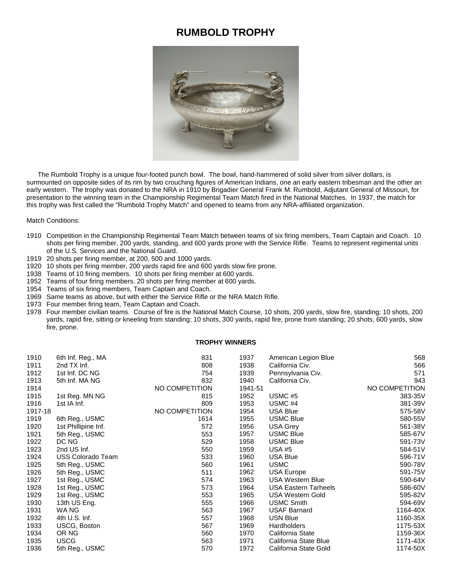## **RUMBOLD TROPHY**



 The Rumbold Trophy is a unique four-footed punch bowl. The bowl, hand-hammered of solid silver from silver dollars, is surmounted on opposite sides of its rim by two crouching figures of American Indians, one an early eastern tribesman and the other an early western. The trophy was donated to the NRA in 1910 by Brigadier General Frank M. Rumbold, Adjutant General of Missouri, for presentation to the winning team in the Championship Regimental Team Match fired in the National Matches. In 1937, the match for this trophy was first called the "Rumbold Trophy Match" and opened to teams from any NRA-affiliated organization.

Match Conditions:

- Competition in the Championship Regimental Team Match between teams of six firing members, Team Captain and Coach. 10 shots per firing member, 200 yards, standing, and 600 yards prone with the Service Rifle. Teams to represent regimental units of the U.S. Services and the National Guard.
- 20 shots per firing member, at 200, 500 and 1000 yards.
- 10 shots per firing member, 200 yards rapid fire and 600 yards slow fire prone.
- Teams of 10 firing members. 10 shots per firing member at 600 yards.
- Teams of four firing members. 20 shots per firing member at 600 yards.
- Teams of six firing members, Team Captain and Coach.
- Same teams as above, but with either the Service Rifle or the NRA Match Rifle.
- Four member firing team, Team Captain and Coach.
- Four member civilian teams. Course of fire is the National Match Course, 10 shots, 200 yards, slow fire, standing; 10 shots, 200 yards, rapid fire, sitting or kneeling from standing; 10 shots, 300 yards, rapid fire, prone from standing; 20 shots, 600 yards, slow fire, prone.

## **TROPHY WINNERS**

| 1910    | 6th Inf. Reg., MA        | 831            | 1937    | American Legion Blue        | 568            |
|---------|--------------------------|----------------|---------|-----------------------------|----------------|
| 1911    | 2nd TX Inf.              | 808            | 1938    | California Civ.             | 566            |
| 1912    | 1st Inf. DC NG           | 754            | 1939    | Pennsylvania Civ.           | 571            |
| 1913    | 5th Inf. MA NG           | 832            | 1940    | California Civ.             | 943            |
| 1914    |                          | NO COMPETITION | 1941-51 |                             | NO COMPETITION |
| 1915    | 1st Reg. MN NG           | 815            | 1952    | USMC #5                     | 383-35V        |
| 1916    | 1st IA Inf.              | 809            | 1953    | USMC #4                     | 381-39V        |
| 1917-18 |                          | NO COMPETITION | 1954    | <b>USA Blue</b>             | 575-58V        |
| 1919    | 6th Reg., USMC           | 1614           | 1955    | <b>USMC Blue</b>            | 580-55V        |
| 1920    | 1st Phillipine Inf.      | 572            | 1956    | <b>USA Grey</b>             | 561-38V        |
| 1921    | 5th Reg., USMC           | 553            | 1957    | <b>USMC Blue</b>            | 585-67V        |
| 1922    | DC NG                    | 529            | 1958    | <b>USMC Blue</b>            | 591-73V        |
| 1923    | 2nd US Inf.              | 550            | 1959    | USA #5                      | 584-51V        |
| 1924    | <b>USS Colorado Team</b> | 533            | 1960    | USA Blue                    | 596-71V        |
| 1925    | 5th Reg., USMC           | 560            | 1961    | <b>USMC</b>                 | 590-78V        |
| 1926    | 5th Reg., USMC           | 511            | 1962    | USA Europe                  | 591-75V        |
| 1927    | 1st Reg., USMC           | 574            | 1963    | <b>USA Western Blue</b>     | 590-64V        |
| 1928    | 1st Reg., USMC           | 573            | 1964    | <b>USA Eastern Tarheels</b> | 586-60V        |
| 1929    | 1st Reg., USMC           | 553            | 1965    | USA Western Gold            | 595-82V        |
| 1930    | 13th US Eng.             | 555            | 1966    | <b>USMC Smith</b>           | 594-69V        |
| 1931    | WA NG                    | 563            | 1967    | <b>USAF Barnard</b>         | 1164-40X       |
| 1932    | 4th U.S. Inf.            | 557            | 1968    | <b>USN Blue</b>             | 1160-35X       |
| 1933    | USCG, Boston             | 567            | 1969    | Hardholders                 | 1175-53X       |
| 1934    | OR NG                    | 560            | 1970    | California State            | 1159-36X       |
| 1935    | <b>USCG</b>              | 563            | 1971    | California State Blue       | 1171-43X       |
| 1936    | 5th Reg., USMC           | 570            | 1972    | California State Gold       | 1174-50X       |